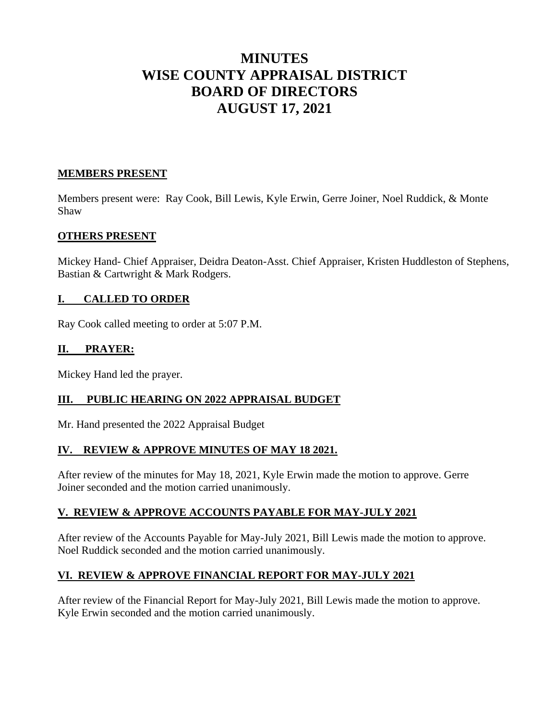# **MINUTES WISE COUNTY APPRAISAL DISTRICT BOARD OF DIRECTORS AUGUST 17, 2021**

## **MEMBERS PRESENT**

Members present were: Ray Cook, Bill Lewis, Kyle Erwin, Gerre Joiner, Noel Ruddick, & Monte Shaw

#### **OTHERS PRESENT**

Mickey Hand- Chief Appraiser, Deidra Deaton-Asst. Chief Appraiser, Kristen Huddleston of Stephens, Bastian & Cartwright & Mark Rodgers.

#### **I. CALLED TO ORDER**

Ray Cook called meeting to order at 5:07 P.M.

#### **II. PRAYER:**

Mickey Hand led the prayer.

#### **III. PUBLIC HEARING ON 2022 APPRAISAL BUDGET**

Mr. Hand presented the 2022 Appraisal Budget

#### **IV. REVIEW & APPROVE MINUTES OF MAY 18 2021.**

After review of the minutes for May 18, 2021, Kyle Erwin made the motion to approve. Gerre Joiner seconded and the motion carried unanimously.

#### **V. REVIEW & APPROVE ACCOUNTS PAYABLE FOR MAY-JULY 2021**

After review of the Accounts Payable for May-July 2021, Bill Lewis made the motion to approve. Noel Ruddick seconded and the motion carried unanimously.

#### **VI. REVIEW & APPROVE FINANCIAL REPORT FOR MAY-JULY 2021**

After review of the Financial Report for May-July 2021, Bill Lewis made the motion to approve. Kyle Erwin seconded and the motion carried unanimously.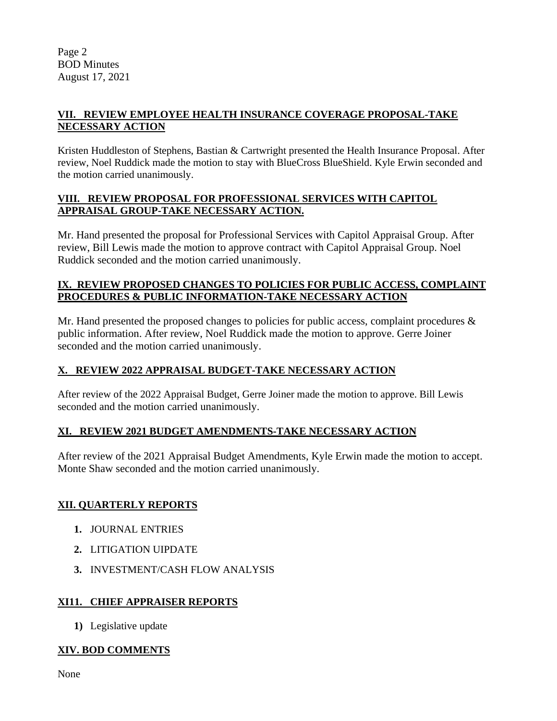Page 2 BOD Minutes August 17, 2021

## **VII. REVIEW EMPLOYEE HEALTH INSURANCE COVERAGE PROPOSAL-TAKE NECESSARY ACTION**

Kristen Huddleston of Stephens, Bastian & Cartwright presented the Health Insurance Proposal. After review, Noel Ruddick made the motion to stay with BlueCross BlueShield. Kyle Erwin seconded and the motion carried unanimously.

#### **VIII. REVIEW PROPOSAL FOR PROFESSIONAL SERVICES WITH CAPITOL APPRAISAL GROUP-TAKE NECESSARY ACTION.**

Mr. Hand presented the proposal for Professional Services with Capitol Appraisal Group. After review, Bill Lewis made the motion to approve contract with Capitol Appraisal Group. Noel Ruddick seconded and the motion carried unanimously.

#### **IX. REVIEW PROPOSED CHANGES TO POLICIES FOR PUBLIC ACCESS, COMPLAINT PROCEDURES & PUBLIC INFORMATION-TAKE NECESSARY ACTION**

Mr. Hand presented the proposed changes to policies for public access, complaint procedures  $\&$ public information. After review, Noel Ruddick made the motion to approve. Gerre Joiner seconded and the motion carried unanimously.

# **X. REVIEW 2022 APPRAISAL BUDGET-TAKE NECESSARY ACTION**

After review of the 2022 Appraisal Budget, Gerre Joiner made the motion to approve. Bill Lewis seconded and the motion carried unanimously.

# **XI. REVIEW 2021 BUDGET AMENDMENTS-TAKE NECESSARY ACTION**

After review of the 2021 Appraisal Budget Amendments, Kyle Erwin made the motion to accept. Monte Shaw seconded and the motion carried unanimously.

# **XII. QUARTERLY REPORTS**

- **1.** JOURNAL ENTRIES
- **2.** LITIGATION UIPDATE
- **3.** INVESTMENT/CASH FLOW ANALYSIS

# **XI11. CHIEF APPRAISER REPORTS**

**1)** Legislative update

# **XIV. BOD COMMENTS**

None